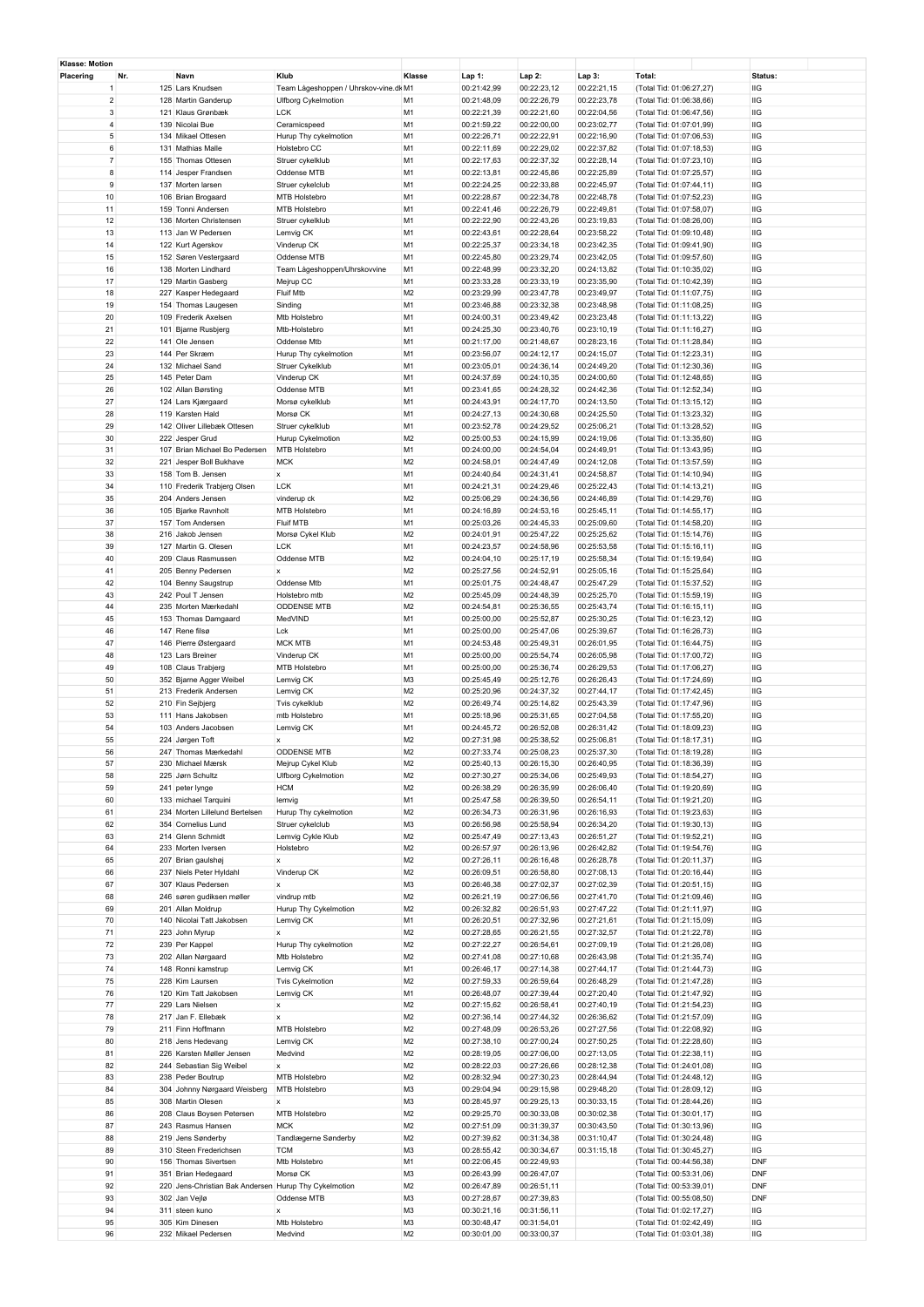| Klasse: Motion |                         |                                                       |                                           |                                  |                            |                            |                            |                                                      |            |  |
|----------------|-------------------------|-------------------------------------------------------|-------------------------------------------|----------------------------------|----------------------------|----------------------------|----------------------------|------------------------------------------------------|------------|--|
| Placering      | Nr.                     | Navn                                                  | Klub                                      | Klasse                           | Lap 1:                     | $Lap2$ :                   | Lap 3:                     | Total:                                               | Status:    |  |
|                | 1                       | 125 Lars Knudsen                                      | Team Lågeshoppen / Uhrskov-vine.dk M1     |                                  | 00:21:42,99                | 00:22:23,12                | 00:22:21,15                | (Total Tid: 01:06:27,27)                             | IIG        |  |
|                | $\overline{\mathbf{c}}$ | 128 Martin Ganderup                                   | <b>Ulfborg Cykelmotion</b>                | M <sub>1</sub>                   | 00:21:48,09                | 00:22:26,79                | 00:22:23,78                | (Total Tid: 01:06:38,66)                             | IIG        |  |
|                | 3                       | 121 Klaus Grønbæk                                     | <b>LCK</b>                                | M <sub>1</sub>                   | 00:22:21,39                | 00:22:21,60                | 00:22:04,56                | (Total Tid: 01:06:47,56)                             | IIG        |  |
|                | 4                       | 139 Nicolai Bue                                       | Ceramicspeed                              | M <sub>1</sub>                   | 00:21:59,22                | 00:22:00,00                | 00:23:02,77                | (Total Tid: 01:07:01,99)                             | IIG        |  |
|                | 5                       | 134 Mikael Ottesen                                    | Hurup Thy cykelmotion                     | M <sub>1</sub>                   | 00:22:26,71                | 00:22:22,91                | 00:22:16,90                | (Total Tid: 01:07:06,53)                             | IIG        |  |
|                | 6                       | 131 Mathias Malle                                     | Holstebro CC                              | M <sub>1</sub>                   | 00:22:11,69                | 00:22:29,02                | 00:22:37,82                | (Total Tid: 01:07:18,53)                             | IIG        |  |
|                | $\overline{7}$          | 155 Thomas Ottesen                                    | Struer cykelklub                          | M <sub>1</sub>                   | 00:22:17,63                | 00:22:37,32                | 00:22:28,14                | (Total Tid: 01:07:23,10)                             | IIG        |  |
|                | 8                       | 114 Jesper Frandsen                                   | Oddense MTB                               | M <sub>1</sub>                   | 00:22:13,81                | 00:22:45,86                | 00:22:25,89                | (Total Tid: 01:07:25,57)                             | IIG        |  |
|                | 9                       | 137 Morten larsen                                     | Struer cykelclub                          | M <sub>1</sub>                   | 00:22:24,25                | 00:22:33,88                | 00:22:45,97                | (Total Tid: 01:07:44,11)                             | IIG        |  |
|                | 10                      | 106 Brian Brogaard                                    | MTB Holstebro                             | M <sub>1</sub>                   | 00:22:28,67                | 00:22:34,78                | 00:22:48,78                | (Total Tid: 01:07:52,23)                             | IIG        |  |
| 11             |                         | 159 Tonni Andersen                                    | MTB Holstebro                             | M <sub>1</sub>                   | 00:22:41,46                | 00:22:26,79                | 00:22:49,81                | (Total Tid: 01:07:58,07)                             | IIG        |  |
|                | 12                      | 136 Morten Christensen                                | Struer cykelklub                          | M <sub>1</sub>                   | 00:22:22,90                | 00:22:43,26                | 00:23:19,83                | (Total Tid: 01:08:26,00)                             | IIG        |  |
|                | 13                      | 113 Jan W Pedersen                                    | Lemvig CK                                 | M <sub>1</sub>                   | 00:22:43,61                | 00:22:28,64                | 00:23:58,22                | (Total Tid: 01:09:10,48)                             | IIG        |  |
|                | 14                      | 122 Kurt Agerskov                                     | Vinderup CK                               | M <sub>1</sub>                   | 00:22:25,37                | 00:23:34,18                | 00:23:42,35                | (Total Tid: 01:09:41,90)                             | IIG        |  |
|                | 15                      | 152 Søren Vestergaard                                 | Oddense MTB                               | M <sub>1</sub>                   | 00:22:45,80                | 00:23:29,74                | 00:23:42,05                | (Total Tid: 01:09:57,60)                             | IIG        |  |
|                | 16                      | 138 Morten Lindhard                                   | Team Lågeshoppen/Uhrskovvine              | M <sub>1</sub>                   | 00:22:48,99                | 00:23:32,20                | 00:24:13,82                | (Total Tid: 01:10:35,02)                             | IIG        |  |
| $17$           |                         | 129 Martin Gasberg                                    | Mejrup CC                                 | M <sub>1</sub>                   | 00:23:33,28                | 00:23:33,19                | 00:23:35,90                | (Total Tid: 01:10:42,39)                             | IIG        |  |
|                | 18                      | 227 Kasper Hedegaard                                  | Fluif Mtb                                 | M <sub>2</sub>                   | 00:23:29,99                | 00:23:47,78                | 00:23:49,97                | (Total Tid: 01:11:07,75)                             | IIG        |  |
|                | 19                      | 154 Thomas Laugesen                                   | Sinding                                   | M <sub>1</sub>                   | 00:23:46,88                | 00:23:32,38                | 00:23:48,98                | (Total Tid: 01:11:08,25)                             | IIG        |  |
|                | 20                      | 109 Frederik Axelsen                                  | Mtb Holstebro                             | M <sub>1</sub>                   | 00:24:00,31                | 00:23:49,42                | 00:23:23,48                | (Total Tid: 01:11:13,22)                             | IIG        |  |
| 21             |                         | 101 Bjarne Rusbjerg                                   | Mtb-Holstebro                             | M <sub>1</sub>                   | 00:24:25,30                | 00:23:40,76                | 00:23:10,19                | (Total Tid: 01:11:16,27)                             | IIG        |  |
|                | 22                      | 141 Ole Jensen                                        | Oddense Mtb                               | M <sub>1</sub>                   | 00:21:17,00                | 00:21:48,67                | 00:28:23,16                | (Total Tid: 01:11:28,84)                             | IIG        |  |
| 23             | 24                      | 144 Per Skræm<br>132 Michael Sand                     | Hurup Thy cykelmotion<br>Struer Cykelklub | M <sub>1</sub><br>M <sub>1</sub> | 00:23:56,07<br>00:23:05,01 | 00:24:12,17<br>00:24:36,14 | 00:24:15,07<br>00:24:49,20 | (Total Tid: 01:12:23,31)                             | IIG<br>IIG |  |
|                | 25                      | 145 Peter Dam                                         | Vinderup CK                               | M <sub>1</sub>                   | 00:24:37,69                | 00:24:10,35                | 00:24:00,60                | (Total Tid: 01:12:30,36)<br>(Total Tid: 01:12:48,65) | IIG        |  |
|                | 26                      | 102 Allan Børsting                                    | Oddense MTB                               | M <sub>1</sub>                   | 00:23:41,65                | 00:24:28,32                |                            |                                                      | IIG        |  |
| 27             |                         | 124 Lars Kjærgaard                                    | Morsø cykelklub                           | M <sub>1</sub>                   | 00:24:43,91                | 00:24:17,70                | 00:24:42,36<br>00:24:13,50 | (Total Tid: 01:12:52,34)<br>(Total Tid: 01:13:15,12) | IIG        |  |
| 28             |                         | 119 Karsten Hald                                      | Morsø CK                                  | M <sub>1</sub>                   | 00:24:27,13                | 00:24:30,68                | 00:24:25,50                | (Total Tid: 01:13:23,32)                             | IIG        |  |
|                | 29                      | 142 Oliver Lillebæk Ottesen                           | Struer cykelklub                          | M <sub>1</sub>                   | 00:23:52,78                | 00:24:29,52                | 00:25:06,21                | (Total Tid: 01:13:28,52)                             | IIG        |  |
| 30             |                         | 222 Jesper Grud                                       | Hurup Cykelmotion                         | M <sub>2</sub>                   | 00:25:00,53                | 00:24:15,99                | 00:24:19,06                | (Total Tid: 01:13:35,60)                             | IIG        |  |
| 31             |                         | 107 Brian Michael Bo Pedersen                         | MTB Holstebro                             | M <sub>1</sub>                   | 00:24:00,00                | 00:24:54,04                | 00:24:49,91                | (Total Tid: 01:13:43,95)                             | IIG        |  |
|                | 32                      | 221 Jesper Boll Bukhave                               | <b>MCK</b>                                | M <sub>2</sub>                   | 00:24:58,01                | 00:24:47,49                | 00:24:12,08                | (Total Tid: 01:13:57,59)                             | IIG        |  |
|                | 33                      | 158 Tom B. Jensen                                     | $\boldsymbol{\mathsf{x}}$                 | M <sub>1</sub>                   | 00:24:40,64                | 00:24:31,41                | 00:24:58,87                | (Total Tid: 01:14:10,94)                             | IIG        |  |
|                | 34                      | 110 Frederik Trabjerg Olsen                           | <b>LCK</b>                                | M <sub>1</sub>                   | 00:24:21,31                | 00:24:29,46                | 00:25:22,43                | (Total Tid: 01:14:13,21)                             | IIG        |  |
|                | 35                      | 204 Anders Jensen                                     | vinderup ck                               | M <sub>2</sub>                   | 00:25:06,29                | 00:24:36,56                | 00:24:46,89                | (Total Tid: 01:14:29,76)                             | IIG        |  |
|                | 36                      | 105 Bjarke Ravnholt                                   | MTB Holstebro                             | M <sub>1</sub>                   | 00:24:16,89                | 00:24:53,16                | 00:25:45,11                | (Total Tid: 01:14:55,17)                             | IIG        |  |
| 37             |                         | 157 Tom Andersen                                      | Fluif MTB                                 | M <sub>1</sub>                   | 00:25:03,26                | 00:24:45,33                | 00:25:09,60                | (Total Tid: 01:14:58,20)                             | IIG        |  |
|                | 38                      | 216 Jakob Jensen                                      | Morsø Cykel Klub                          | M <sub>2</sub>                   | 00:24:01,91                | 00:25:47,22                | 00:25:25,62                | (Total Tid: 01:15:14,76)                             | IIG        |  |
| 39             |                         | 127 Martin G. Olesen                                  | <b>LCK</b>                                | M <sub>1</sub>                   | 00:24:23,57                | 00:24:58,96                | 00:25:53,58                | (Total Tid: 01:15:16,11)                             | IIG        |  |
| 40             |                         | 209 Claus Rasmussen                                   | Oddense MTB                               | M <sub>2</sub>                   | 00:24:04,10                | 00:25:17,19                | 00:25:58,34                | (Total Tid: 01:15:19,64)                             | IIG        |  |
| 41             |                         | 205 Benny Pedersen                                    | x                                         | M <sub>2</sub>                   | 00:25:27,56                | 00:24:52,91                | 00:25:05,16                | (Total Tid: 01:15:25,64)                             | IIG        |  |
|                | 42                      | 104 Benny Saugstrup                                   | Oddense Mtb                               | M <sub>1</sub>                   | 00:25:01,75                | 00:24:48,47                | 00:25:47,29                | (Total Tid: 01:15:37,52)                             | IIG        |  |
|                | 43                      | 242 Poul T Jensen                                     | Holstebro mtb                             | M <sub>2</sub>                   | 00:25:45,09                | 00:24:48,39                | 00:25:25,70                | (Total Tid: 01:15:59,19)                             | IIG        |  |
| 44             |                         | 235 Morten Mærkedahl                                  | <b>ODDENSE MTB</b>                        | M <sub>2</sub>                   | 00:24:54,81                | 00:25:36,55                | 00:25:43,74                | (Total Tid: 01:16:15,11)                             | IIG        |  |
|                | 45                      | 153 Thomas Damgaard                                   | MedVIND                                   | M <sub>1</sub>                   | 00:25:00,00                | 00:25:52,87                | 00:25:30,25                | (Total Tid: 01:16:23,12)                             | IIG        |  |
|                | 46                      | 147 Rene filsø                                        | Lck                                       | M <sub>1</sub>                   | 00:25:00,00                | 00:25:47,06                | 00:25:39,67                | (Total Tid: 01:16:26,73)                             | IIG        |  |
| 47             |                         | 146 Pierre Østergaard                                 | <b>MCK MTB</b>                            | M <sub>1</sub>                   | 00:24:53,48                | 00:25:49,31                | 00:26:01,95                | (Total Tid: 01:16:44,75)                             | IIG        |  |
|                | 48                      | 123 Lars Breiner                                      | Vinderup CK                               | M <sub>1</sub>                   | 00:25:00,00                | 00:25:54,74                | 00:26:05,98                | (Total Tid: 01:17:00,72)                             | IIG        |  |
|                | 49                      | 108 Claus Trabjerg                                    | MTB Holstebro                             | M <sub>1</sub>                   | 00:25:00,00                | 00:25:36,74                | 00:26:29,53                | (Total Tid: 01:17:06,27)                             | IIG        |  |
|                | 50                      | 352 Bjarne Agger Weibel                               | Lemvig CK                                 | M <sub>3</sub>                   | 00:25:45,49                | 00:25:12,76                | 00:26:26,43                | (Total Tid: 01:17:24,69)                             | IIG        |  |
| 51             |                         | 213 Frederik Andersen                                 | Lemvig CK                                 | M <sub>2</sub>                   | 00:25:20,96                | 00:24:37,32                | 00:27:44,17                | (Total Tid: 01:17:42,45)                             | IIG        |  |
|                | 52                      | 210 Fin Sejbjerg                                      | Tvis cykelklub                            | M <sub>2</sub>                   | 00:26:49,74                | 00:25:14,82                | 00:25:43,39                | (Total Tid: 01:17:47,96)                             | IIG        |  |
|                | 53                      | 111 Hans Jakobsen                                     | mtb Holstebro                             | M <sub>1</sub>                   | 00:25:18,96                | 00:25:31,65                | 00:27:04,58                | (Total Tid: 01:17:55,20)                             | IIG        |  |
|                | 54                      | 103 Anders Jacobsen                                   | Lemvig CK                                 | M <sub>1</sub>                   | 00:24:45,72                | 00:26:52,08                | 00:26:31,42                | (Total Tid: 01:18:09,23)                             | IIG        |  |
|                | 55                      | 224 Jørgen Toft                                       | x                                         | M <sub>2</sub>                   | 00:27:31,98                | 00:25:38,52                | 00:25:06,81                | (Total Tid: 01:18:17,31)                             | IIG        |  |
|                | 56                      | 247 Thomas Mærkedahl                                  | <b>ODDENSE MTB</b>                        | M <sub>2</sub>                   | 00:27:33,74                | 00:25:08,23                | 00:25:37.30                | (Total Tid: 01:18:19,28)                             | <b>IIG</b> |  |
| 57             |                         | 230 Michael Mærsk                                     | Mejrup Cykel Klub                         | M2                               | 00:25:40,13                | 00:26:15,30                | 00:26:40,95                | (Total Tid: 01:18:36,39)                             | IIG        |  |
|                | 58                      | 225 Jørn Schultz                                      | <b>Ulfborg Cykelmotion</b>                | M <sub>2</sub>                   | 00:27:30,27                | 00:25:34,06                | 00:25:49,93                | (Total Tid: 01:18:54,27)                             | IIG        |  |
|                | 59                      | 241 peter lynge                                       | <b>HCM</b>                                | M <sub>2</sub>                   | 00:26:38,29                | 00:26:35,99                | 00:26:06,40                | (Total Tid: 01:19:20,69)                             | IIG        |  |
|                | 60                      | 133 michael Tarquini                                  | lemvig                                    | M <sub>1</sub>                   | 00:25:47,58                | 00:26:39,50                | 00:26:54,11                | (Total Tid: 01:19:21,20)                             | IIG        |  |
| 61             |                         | 234 Morten Lillelund Bertelsen                        | Hurup Thy cykelmotion                     | M <sub>2</sub>                   | 00:26:34,73                | 00:26:31,96                | 00:26:16,93                | (Total Tid: 01:19:23,63)                             | IIG        |  |
|                | 62                      | 354 Cornelius Lund                                    | Struer cykelclub                          | M <sub>3</sub>                   | 00:26:56,98                | 00:25:58,94                | 00:26:34,20                | (Total Tid: 01:19:30,13)                             | IIG        |  |
| 63             |                         | 214 Glenn Schmidt                                     | Lemvig Cykle Klub                         | M <sub>2</sub>                   | 00:25:47,49                | 00:27:13,43                | 00:26:51,27                | (Total Tid: 01:19:52,21)                             | $\rm IIG$  |  |
|                | 64<br>65                | 233 Morten Iversen<br>207 Brian gaulshøj              | Holstebro<br>$\pmb{\mathsf{x}}$           | M <sub>2</sub><br>M <sub>2</sub> | 00:26:57,97<br>00:27:26,11 | 00:26:13,96<br>00:26:16,48 | 00:26:42,82<br>00:26:28,78 | (Total Tid: 01:19:54,76)<br>(Total Tid: 01:20:11,37) | IIG<br>IIG |  |
|                |                         |                                                       |                                           | M2                               |                            |                            |                            |                                                      |            |  |
| 67             | 66                      | 237 Niels Peter Hyldahl<br>307 Klaus Pedersen         | Vinderup CK<br>x                          | M <sub>3</sub>                   | 00:26:09,51<br>00:26:46,38 | 00:26:58,80<br>00:27:02,37 | 00:27:08,13<br>00:27:02,39 | (Total Tid: 01:20:16,44)<br>(Total Tid: 01:20:51,15) | IIG<br>IIG |  |
|                | 68                      | 246 søren gudiksen møller                             | vindrup mtb                               | M <sub>2</sub>                   | 00:26:21,19                | 00:27:06,56                | 00:27:41,70                | (Total Tid: 01:21:09,46)                             | IIG        |  |
|                | 69                      | 201 Allan Moldrup                                     | Hurup Thy Cykelmotion                     | M <sub>2</sub>                   | 00:26:32,82                | 00:26:51,93                | 00:27:47,22                | (Total Tid: 01:21:11,97)                             | IIG        |  |
|                | 70                      | 140 Nicolai Tatt Jakobsen                             | Lemvig CK                                 | M <sub>1</sub>                   | 00:26:20,51                | 00:27:32,96                | 00:27:21,61                | (Total Tid: 01:21:15,09)                             | IIG        |  |
| 71             |                         | 223 John Myrup                                        | x                                         | M <sub>2</sub>                   | 00:27:28,65                | 00:26:21,55                | 00:27:32,57                | (Total Tid: 01:21:22,78)                             | IIG        |  |
|                | 72                      | 239 Per Kappel                                        | Hurup Thy cykelmotion                     | M <sub>2</sub>                   | 00:27:22,27                | 00:26:54,61                | 00:27:09,19                | (Total Tid: 01:21:26,08)                             | IIG        |  |
|                | 73                      | 202 Allan Nørgaard                                    | Mtb Holstebro                             | M <sub>2</sub>                   | 00:27:41,08                | 00:27:10,68                | 00:26:43,98                | (Total Tid: 01:21:35,74)                             | IIG        |  |
|                | 74                      | 148 Ronni kamstrup                                    | Lemvig CK                                 | M <sub>1</sub>                   | 00:26:46,17                | 00:27:14,38                | 00:27:44,17                | (Total Tid: 01:21:44,73)                             | IIG        |  |
|                | 75                      | 228 Kim Laursen                                       | <b>Tvis Cykelmotion</b>                   | M <sub>2</sub>                   | 00:27:59,33                | 00:26:59,64                | 00:26:48,29                | (Total Tid: 01:21:47,28)                             | IIG        |  |
|                | 76                      | 120 Kim Tatt Jakobsen                                 | Lemvig CK                                 | M1                               | 00:26:48,07                | 00:27:39,44                | 00:27:20,40                | (Total Tid: 01:21:47,92)                             | IIG        |  |
| $77\,$         |                         | 229 Lars Nielsen                                      | $\pmb{\mathsf{x}}$                        | M2                               | 00:27:15,62                | 00:26:58,41                | 00:27:40,19                | (Total Tid: 01:21:54,23)                             | IIG        |  |
|                | 78                      | 217 Jan F. Ellebæk                                    | $\pmb{\mathsf{x}}$                        | M2                               | 00:27:36,14                | 00:27:44,32                | 00:26:36,62                | (Total Tid: 01:21:57,09)                             | IIG        |  |
|                | 79                      | 211 Finn Hoffmann                                     | MTB Holstebro                             | M <sub>2</sub>                   | 00:27:48,09                | 00:26:53,26                | 00:27:27,56                | (Total Tid: 01:22:08,92)                             | IIG        |  |
|                | 80                      | 218 Jens Hedevang                                     | Lemvig CK                                 | M <sub>2</sub>                   | 00:27:38,10                | 00:27:00,24                | 00:27:50,25                | (Total Tid: 01:22:28,60)                             | IIG        |  |
| 81             |                         | 226 Karsten Møller Jensen                             | Medvind                                   | M <sub>2</sub>                   | 00:28:19,05                | 00:27:06,00                | 00:27:13,05                | (Total Tid: 01:22:38,11)                             | IIG        |  |
|                | 82                      | 244 Sebastian Sig Weibel                              | x                                         | M <sub>2</sub>                   | 00:28:22,03                | 00:27:26,66                | 00:28:12,38                | (Total Tid: 01:24:01,08)                             | IIG        |  |
|                | 83                      | 238 Peder Boutrup                                     | MTB Holstebro                             | M <sub>2</sub>                   | 00:28:32,94                | 00:27:30,23                | 00:28:44,94                | (Total Tid: 01:24:48,12)                             | IIG        |  |
|                | 84                      | 304 Johnny Nørgaard Weisberg                          | MTB Holstebro                             | M <sub>3</sub>                   | 00:29:04,94                | 00:29:15,98                | 00:29:48,20                | (Total Tid: 01:28:09,12)                             | IIG        |  |
|                | 85                      | 308 Martin Olesen                                     | x                                         | M <sub>3</sub>                   | 00:28:45,97                | 00:29:25,13                | 00:30:33,15                | (Total Tid: 01:28:44,26)                             | IIG        |  |
|                | 86                      | 208 Claus Boysen Petersen                             | MTB Holstebro                             | M <sub>2</sub>                   | 00:29:25,70                | 00:30:33,08                | 00:30:02,38                | (Total Tid: 01:30:01,17)                             | IIG        |  |
| 87             |                         | 243 Rasmus Hansen                                     | <b>MCK</b>                                | M <sub>2</sub>                   | 00:27:51,09                | 00:31:39,37                | 00:30:43,50                | (Total Tid: 01:30:13,96)                             | IIG        |  |
|                | 88                      | 219 Jens Sønderby                                     | Tandlægerne Sønderby                      | M <sub>2</sub>                   | 00:27:39,62                | 00:31:34,38                | 00:31:10,47                | (Total Tid: 01:30:24,48)                             | IIG        |  |
|                | 89                      | 310 Steen Frederichsen                                | <b>TCM</b>                                | M <sub>3</sub>                   | 00:28:55,42                | 00:30:34,67                | 00:31:15,18                | (Total Tid: 01:30:45,27)                             | IIG        |  |
| 90             |                         | 156 Thomas Sivertsen                                  | Mtb Holstebro                             | M <sub>1</sub>                   | 00:22:06,45                | 00:22:49,93                |                            | (Total Tid: 00:44:56,38)                             | <b>DNF</b> |  |
| 91             |                         | 351 Brian Hedegaard                                   | Morsø CK                                  | M <sub>3</sub>                   | 00:26:43,99                | 00:26:47,07                |                            | (Total Tid: 00:53:31,06)                             | DNF        |  |
|                | 92                      | 220 Jens-Christian Bak Andersen Hurup Thy Cykelmotion |                                           | M <sub>2</sub>                   | 00:26:47,89                | 00:26:51,11                |                            | (Total Tid: 00:53:39,01)                             | DNF        |  |
|                | 93                      | 302 Jan Vejlø                                         | Oddense MTB                               | M <sub>3</sub>                   | 00:27:28,67                | 00:27:39,83                |                            | (Total Tid: 00:55:08,50)                             | DNF        |  |
|                | 94                      | 311 steen kuno                                        | $\boldsymbol{\mathsf{x}}$                 | M <sub>3</sub>                   | 00:30:21,16                | 00:31:56,11                |                            | (Total Tid: 01:02:17,27)                             | IIG        |  |
|                | 95                      | 305 Kim Dinesen                                       | Mtb Holstebro                             | M <sub>3</sub>                   | 00:30:48,47                | 00:31:54,01                |                            | (Total Tid: 01:02:42,49)                             | IIG        |  |
|                | 96                      | 232 Mikael Pedersen                                   | Medvind                                   | M2                               | 00:30:01,00                | 00:33:00,37                |                            | (Total Tid: 01:03:01,38)                             | IIG        |  |